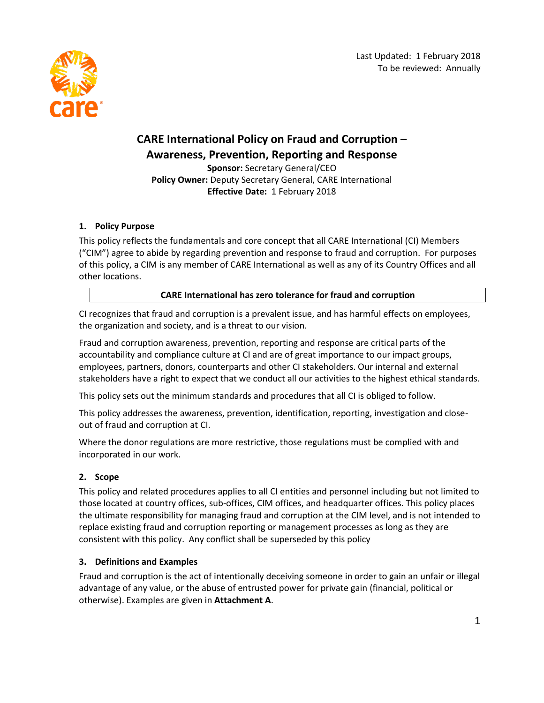

# **CARE International Policy on Fraud and Corruption – Awareness, Prevention, Reporting and Response**

**Sponsor:** Secretary General/CEO **Policy Owner:** Deputy Secretary General, CARE International **Effective Date:** 1 February 2018

## **1. Policy Purpose**

This policy reflects the fundamentals and core concept that all CARE International (CI) Members ("CIM") agree to abide by regarding prevention and response to fraud and corruption. For purposes of this policy, a CIM is any member of CARE International as well as any of its Country Offices and all other locations.

## **CARE International has zero tolerance for fraud and corruption**

CI recognizes that fraud and corruption is a prevalent issue, and has harmful effects on employees, the organization and society, and is a threat to our vision.

Fraud and corruption awareness, prevention, reporting and response are critical parts of the accountability and compliance culture at CI and are of great importance to our impact groups, employees, partners, donors, counterparts and other CI stakeholders. Our internal and external stakeholders have a right to expect that we conduct all our activities to the highest ethical standards.

This policy sets out the minimum standards and procedures that all CI is obliged to follow.

This policy addresses the awareness, prevention, identification, reporting, investigation and closeout of fraud and corruption at CI.

Where the donor regulations are more restrictive, those regulations must be complied with and incorporated in our work.

## **2. Scope**

This policy and related procedures applies to all CI entities and personnel including but not limited to those located at country offices, sub-offices, CIM offices, and headquarter offices. This policy places the ultimate responsibility for managing fraud and corruption at the CIM level, and is not intended to replace existing fraud and corruption reporting or management processes as long as they are consistent with this policy. Any conflict shall be superseded by this policy

## **3. Definitions and Examples**

Fraud and corruption is the act of intentionally deceiving someone in order to gain an unfair or illegal advantage of any value, or the abuse of entrusted power for private gain (financial, political or otherwise). Examples are given in **Attachment A**.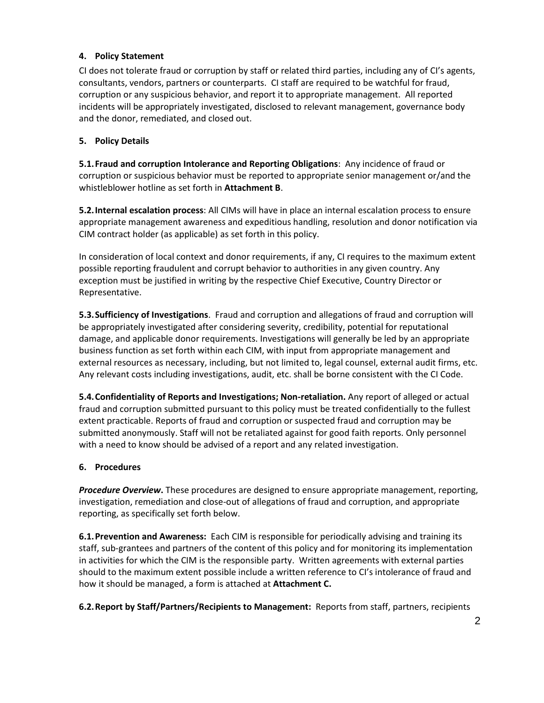## **4. Policy Statement**

CI does not tolerate fraud or corruption by staff or related third parties, including any of CI's agents, consultants, vendors, partners or counterparts. CI staff are required to be watchful for fraud, corruption or any suspicious behavior, and report it to appropriate management. All reported incidents will be appropriately investigated, disclosed to relevant management, governance body and the donor, remediated, and closed out.

#### **5. Policy Details**

**5.1.Fraud and corruption Intolerance and Reporting Obligations**: Any incidence of fraud or corruption or suspicious behavior must be reported to appropriate senior management or/and the whistleblower hotline as set forth in **Attachment B**.

**5.2.Internal escalation process**: All CIMs will have in place an internal escalation process to ensure appropriate management awareness and expeditious handling, resolution and donor notification via CIM contract holder (as applicable) as set forth in this policy.

In consideration of local context and donor requirements, if any, CI requires to the maximum extent possible reporting fraudulent and corrupt behavior to authorities in any given country. Any exception must be justified in writing by the respective Chief Executive, Country Director or Representative.

**5.3.Sufficiency of Investigations**. Fraud and corruption and allegations of fraud and corruption will be appropriately investigated after considering severity, credibility, potential for reputational damage, and applicable donor requirements. Investigations will generally be led by an appropriate business function as set forth within each CIM, with input from appropriate management and external resources as necessary, including, but not limited to, legal counsel, external audit firms, etc. Any relevant costs including investigations, audit, etc. shall be borne consistent with the CI Code.

**5.4.Confidentiality of Reports and Investigations; Non-retaliation.** Any report of alleged or actual fraud and corruption submitted pursuant to this policy must be treated confidentially to the fullest extent practicable. Reports of fraud and corruption or suspected fraud and corruption may be submitted anonymously. Staff will not be retaliated against for good faith reports. Only personnel with a need to know should be advised of a report and any related investigation.

## **6. Procedures**

*Procedure Overview***.** These procedures are designed to ensure appropriate management, reporting, investigation, remediation and close-out of allegations of fraud and corruption, and appropriate reporting, as specifically set forth below.

**6.1.Prevention and Awareness:** Each CIM is responsible for periodically advising and training its staff, sub-grantees and partners of the content of this policy and for monitoring its implementation in activities for which the CIM is the responsible party. Written agreements with external parties should to the maximum extent possible include a written reference to CI's intolerance of fraud and how it should be managed, a form is attached at **Attachment C.**

**6.2.Report by Staff/Partners/Recipients to Management:** Reports from staff, partners, recipients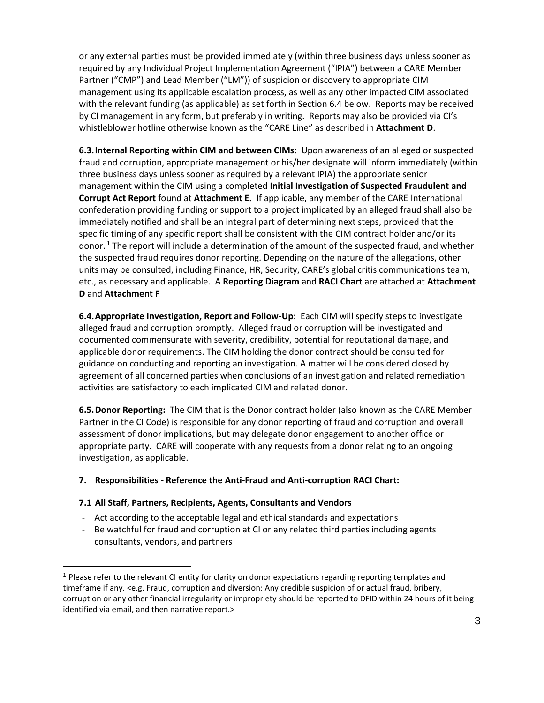or any external parties must be provided immediately (within three business days unless sooner as required by any Individual Project Implementation Agreement ("IPIA") between a CARE Member Partner ("CMP") and Lead Member ("LM")) of suspicion or discovery to appropriate CIM management using its applicable escalation process, as well as any other impacted CIM associated with the relevant funding (as applicable) as set forth in Section 6.4 below. Reports may be received by CI management in any form, but preferably in writing. Reports may also be provided via CI's whistleblower hotline otherwise known as the "CARE Line" as described in **Attachment D**.

**6.3.Internal Reporting within CIM and between CIMs:** Upon awareness of an alleged or suspected fraud and corruption, appropriate management or his/her designate will inform immediately (within three business days unless sooner as required by a relevant IPIA) the appropriate senior management within the CIM using a completed **Initial Investigation of Suspected Fraudulent and Corrupt Act Report** found at **Attachment E.** If applicable, any member of the CARE International confederation providing funding or support to a project implicated by an alleged fraud shall also be immediately notified and shall be an integral part of determining next steps, provided that the specific timing of any specific report shall be consistent with the CIM contract holder and/or its donor. <sup>1</sup> The report will include a determination of the amount of the suspected fraud, and whether the suspected fraud requires donor reporting. Depending on the nature of the allegations, other units may be consulted, including Finance, HR, Security, CARE's global critis communications team, etc., as necessary and applicable. A **Reporting Diagram** and **RACI Chart** are attached at **Attachment D** and **Attachment F**

**6.4.Appropriate Investigation, Report and Follow-Up:** Each CIM will specify steps to investigate alleged fraud and corruption promptly. Alleged fraud or corruption will be investigated and documented commensurate with severity, credibility, potential for reputational damage, and applicable donor requirements. The CIM holding the donor contract should be consulted for guidance on conducting and reporting an investigation. A matter will be considered closed by agreement of all concerned parties when conclusions of an investigation and related remediation activities are satisfactory to each implicated CIM and related donor.

**6.5.Donor Reporting:** The CIM that is the Donor contract holder (also known as the CARE Member Partner in the CI Code) is responsible for any donor reporting of fraud and corruption and overall assessment of donor implications, but may delegate donor engagement to another office or appropriate party. CARE will cooperate with any requests from a donor relating to an ongoing investigation, as applicable.

## **7. Responsibilities - Reference the Anti-Fraud and Anti-corruption RACI Chart:**

#### **7.1 All Staff, Partners, Recipients, Agents, Consultants and Vendors**

l

- Act according to the acceptable legal and ethical standards and expectations
- Be watchful for fraud and corruption at CI or any related third parties including agents consultants, vendors, and partners

<sup>1</sup> Please refer to the relevant CI entity for clarity on donor expectations regarding reporting templates and timeframe if any. <e.g. Fraud, corruption and diversion: Any credible suspicion of or actual fraud, bribery, corruption or any other financial irregularity or impropriety should be reported to DFID within 24 hours of it being identified via email, and then narrative report.>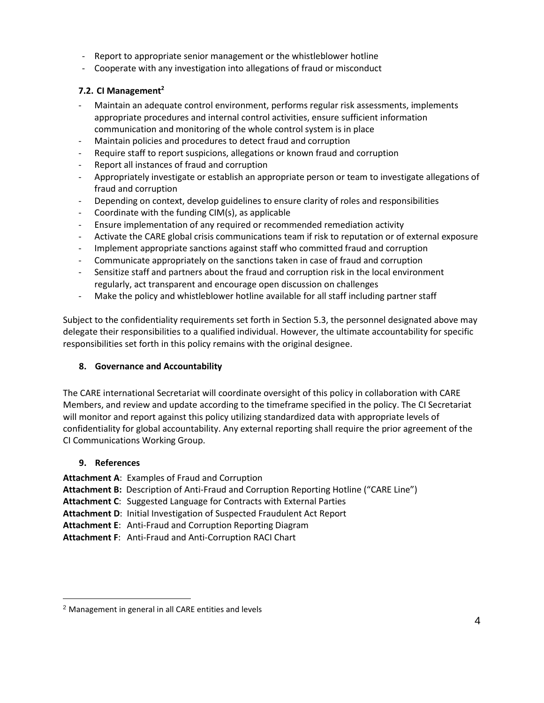- Report to appropriate senior management or the whistleblower hotline
- Cooperate with any investigation into allegations of fraud or misconduct

## **7.2. CI Management<sup>2</sup>**

- Maintain an adequate control environment, performs regular risk assessments, implements appropriate procedures and internal control activities, ensure sufficient information communication and monitoring of the whole control system is in place
- Maintain policies and procedures to detect fraud and corruption
- Require staff to report suspicions, allegations or known fraud and corruption
- Report all instances of fraud and corruption
- Appropriately investigate or establish an appropriate person or team to investigate allegations of fraud and corruption
- Depending on context, develop guidelines to ensure clarity of roles and responsibilities
- Coordinate with the funding CIM(s), as applicable
- Ensure implementation of any required or recommended remediation activity
- Activate the CARE global crisis communications team if risk to reputation or of external exposure
- Implement appropriate sanctions against staff who committed fraud and corruption
- Communicate appropriately on the sanctions taken in case of fraud and corruption
- Sensitize staff and partners about the fraud and corruption risk in the local environment regularly, act transparent and encourage open discussion on challenges
- Make the policy and whistleblower hotline available for all staff including partner staff

Subject to the confidentiality requirements set forth in Section 5.3, the personnel designated above may delegate their responsibilities to a qualified individual. However, the ultimate accountability for specific responsibilities set forth in this policy remains with the original designee.

## **8. Governance and Accountability**

The CARE international Secretariat will coordinate oversight of this policy in collaboration with CARE Members, and review and update according to the timeframe specified in the policy. The CI Secretariat will monitor and report against this policy utilizing standardized data with appropriate levels of confidentiality for global accountability. Any external reporting shall require the prior agreement of the CI Communications Working Group.

## **9. References**

l

**Attachment A**: Examples of Fraud and Corruption

**Attachment B:** Description of Anti-Fraud and Corruption Reporting Hotline ("CARE Line")

**Attachment C**: Suggested Language for Contracts with External Parties

**Attachment D**: Initial Investigation of Suspected Fraudulent Act Report

**Attachment E**: Anti-Fraud and Corruption Reporting Diagram

**Attachment F**: Anti-Fraud and Anti-Corruption RACI Chart

<sup>2</sup> Management in general in all CARE entities and levels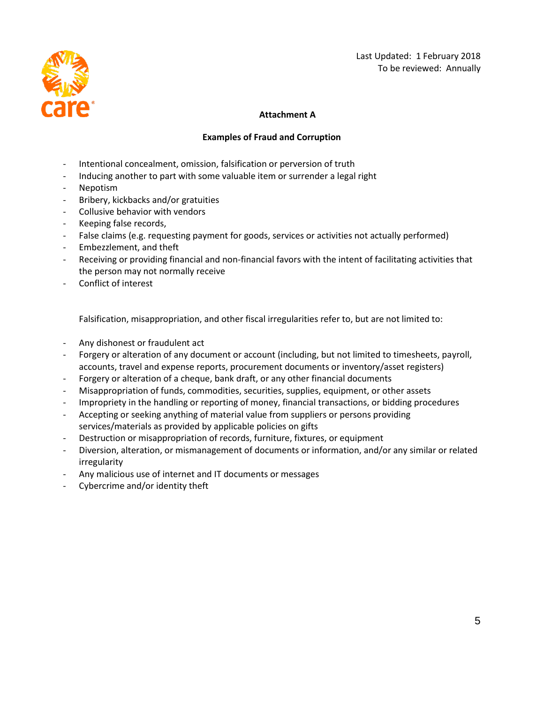

#### **Attachment A**

#### **Examples of Fraud and Corruption**

- Intentional concealment, omission, falsification or perversion of truth
- Inducing another to part with some valuable item or surrender a legal right
- Nepotism
- Bribery, kickbacks and/or gratuities
- Collusive behavior with vendors
- Keeping false records,
- False claims (e.g. requesting payment for goods, services or activities not actually performed)
- Embezzlement, and theft
- Receiving or providing financial and non-financial favors with the intent of facilitating activities that the person may not normally receive
- Conflict of interest

Falsification, misappropriation, and other fiscal irregularities refer to, but are not limited to:

- Any dishonest or fraudulent act
- Forgery or alteration of any document or account (including, but not limited to timesheets, payroll, accounts, travel and expense reports, procurement documents or inventory/asset registers)
- Forgery or alteration of a cheque, bank draft, or any other financial documents
- Misappropriation of funds, commodities, securities, supplies, equipment, or other assets
- Impropriety in the handling or reporting of money, financial transactions, or bidding procedures
- Accepting or seeking anything of material value from suppliers or persons providing services/materials as provided by applicable policies on gifts
- Destruction or misappropriation of records, furniture, fixtures, or equipment
- Diversion, alteration, or mismanagement of documents or information, and/or any similar or related irregularity
- Any malicious use of internet and IT documents or messages
- Cybercrime and/or identity theft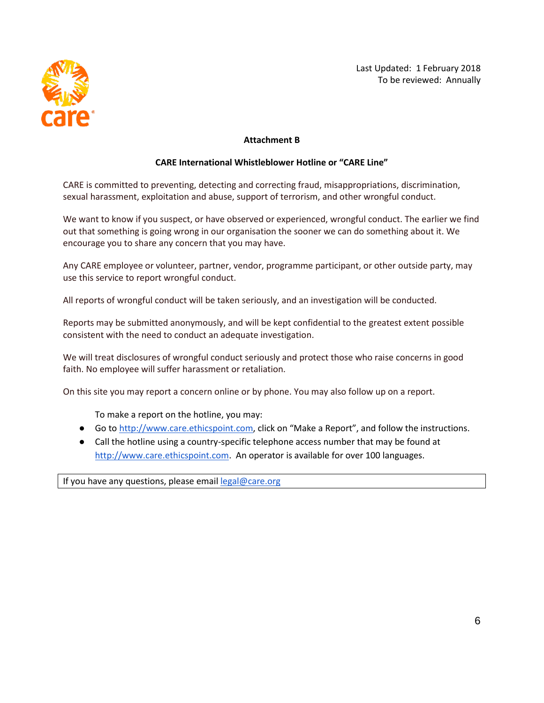

#### **Attachment B**

#### **CARE International Whistleblower Hotline or "CARE Line"**

CARE is committed to preventing, detecting and correcting fraud, misappropriations, discrimination, sexual harassment, exploitation and abuse, support of terrorism, and other wrongful conduct.

We want to know if you suspect, or have observed or experienced, wrongful conduct. The earlier we find out that something is going wrong in our organisation the sooner we can do something about it. We encourage you to share any concern that you may have.

Any CARE employee or volunteer, partner, vendor, programme participant, or other outside party, may use this service to report wrongful conduct.

All reports of wrongful conduct will be taken seriously, and an investigation will be conducted.

Reports may be submitted anonymously, and will be kept confidential to the greatest extent possible consistent with the need to conduct an adequate investigation.

We will treat disclosures of wrongful conduct seriously and protect those who raise concerns in good faith. No employee will suffer harassment or retaliation.

On this site you may report a concern online or by phone. You may also follow up on a report.

To make a report on the hotline, you may:

- G[o](http://www.care.ethicspoint.com/) to [http://www.care.ethicspoint.com](http://www.care.ethicspoint.com/), click on "Make a Report", and follow the instructions.
- Call the hotline using a country-specific telephone access number that may be found a[t](http://www.care.ethicspoint.com/) [http://www.care.ethicspoint.com.](http://www.care.ethicspoint.com/) An operator is available for over 100 languages.

If you have any questions, please email [legal@care.org](https://secure.ethicspoint.eu/domain/en/link.asp?link=mailto:legal@care.org)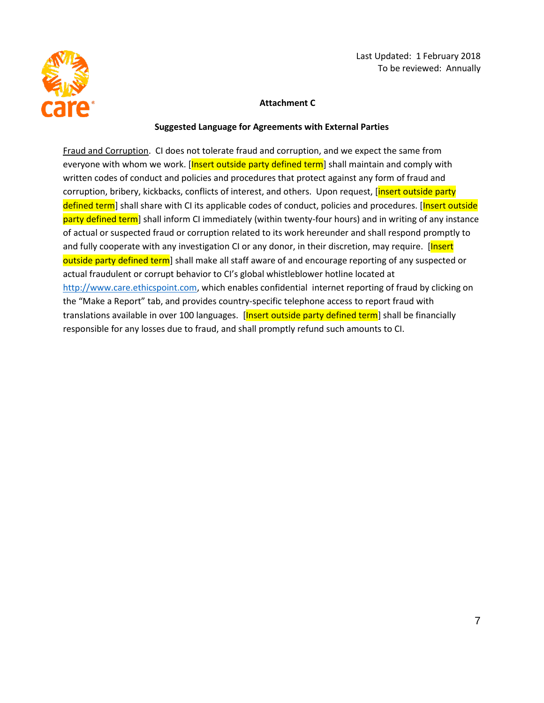

#### **Attachment C**

#### **Suggested Language for Agreements with External Parties**

Fraud and Corruption. CI does not tolerate fraud and corruption, and we expect the same from everyone with whom we work. [Insert outside party defined term] shall maintain and comply with written codes of conduct and policies and procedures that protect against any form of fraud and corruption, bribery, kickbacks, conflicts of interest, and others. Upon request, [insert outside party defined term] shall share with CI its applicable codes of conduct, policies and procedures. [Insert outside party defined term] shall inform CI immediately (within twenty-four hours) and in writing of any instance of actual or suspected fraud or corruption related to its work hereunder and shall respond promptly to and fully cooperate with any investigation CI or any donor, in their discretion, may require. [Insert outside party defined term] shall make all staff aware of and encourage reporting of any suspected or actual fraudulent or corrupt behavior to CI's global whistleblower hotline located at [http://www.care.ethicspoint.com,](http://www.care.ethicspoint.com/) which enables confidential internet reporting of fraud by clicking on the "Make a Report" tab, and provides country-specific telephone access to report fraud with translations available in over 100 languages. [Insert outside party defined term] shall be financially responsible for any losses due to fraud, and shall promptly refund such amounts to CI.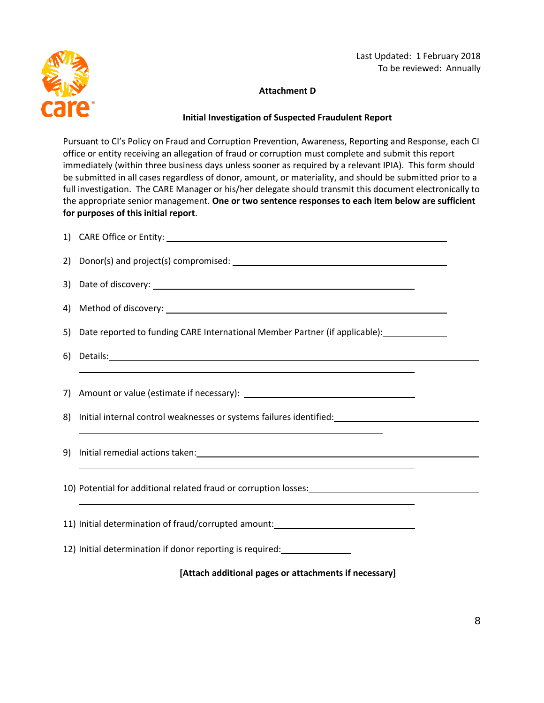

#### **Attachment D**

#### **Initial Investigation of Suspected Fraudulent Report**

Pursuant to CI's Policy on Fraud and Corruption Prevention, Awareness, Reporting and Response, each CI office or entity receiving an allegation of fraud or corruption must complete and submit this report immediately (within three business days unless sooner as required by a relevant IPIA). This form should be submitted in all cases regardless of donor, amount, or materiality, and should be submitted prior to a full investigation. The CARE Manager or his/her delegate should transmit this document electronically to the appropriate senior management. **One or two sentence responses to each item below are sufficient for purposes of this initial report**.

| 4) |                                                                                                                                                                                       |  |
|----|---------------------------------------------------------------------------------------------------------------------------------------------------------------------------------------|--|
|    | 5) Date reported to funding CARE International Member Partner (if applicable): 1992                                                                                                   |  |
| 6) |                                                                                                                                                                                       |  |
|    |                                                                                                                                                                                       |  |
| 8) | Initial internal control weaknesses or systems failures identified:<br>Sensing the state of the state of the state of the state of the state of the state of the state of the state o |  |
| 9) |                                                                                                                                                                                       |  |
|    | 10) Potential for additional related fraud or corruption losses: [11] [12] Potential for additional related fraud                                                                     |  |
|    | 11) Initial determination of fraud/corrupted amount: ___________________________                                                                                                      |  |
|    | 12) Initial determination if donor reporting is required: ________________                                                                                                            |  |
|    | [Attach additional pages or attachments if necessary]                                                                                                                                 |  |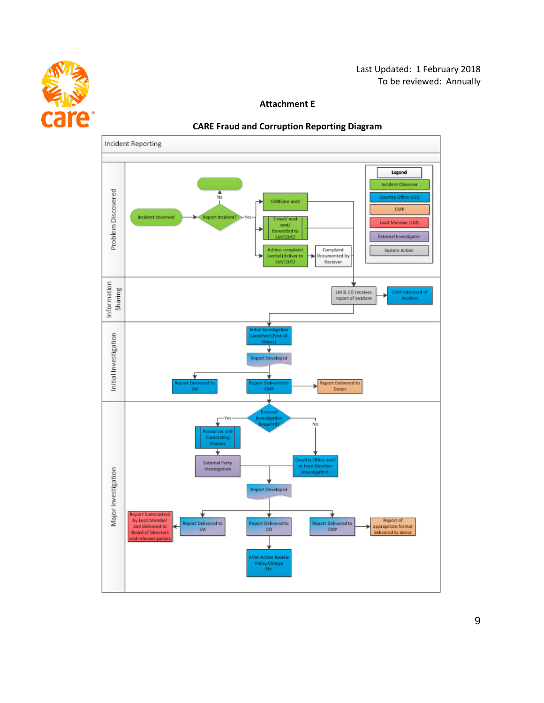

#### **Attachment E**



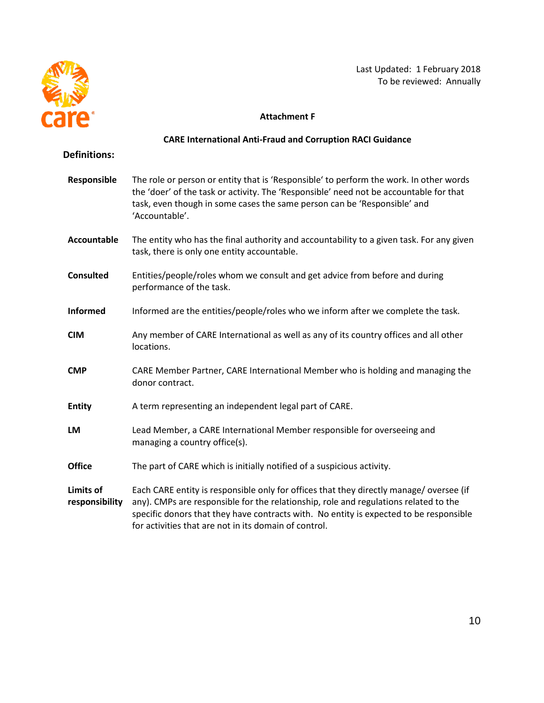

## **Attachment F**

# **CARE International Anti-Fraud and Corruption RACI Guidance**

#### **Definitions:**

| Responsible                        | The role or person or entity that is 'Responsible' to perform the work. In other words<br>the 'doer' of the task or activity. The 'Responsible' need not be accountable for that<br>task, even though in some cases the same person can be 'Responsible' and<br>'Accountable'.                                                    |
|------------------------------------|-----------------------------------------------------------------------------------------------------------------------------------------------------------------------------------------------------------------------------------------------------------------------------------------------------------------------------------|
| <b>Accountable</b>                 | The entity who has the final authority and accountability to a given task. For any given<br>task, there is only one entity accountable.                                                                                                                                                                                           |
| <b>Consulted</b>                   | Entities/people/roles whom we consult and get advice from before and during<br>performance of the task.                                                                                                                                                                                                                           |
| <b>Informed</b>                    | Informed are the entities/people/roles who we inform after we complete the task.                                                                                                                                                                                                                                                  |
| <b>CIM</b>                         | Any member of CARE International as well as any of its country offices and all other<br>locations.                                                                                                                                                                                                                                |
| <b>CMP</b>                         | CARE Member Partner, CARE International Member who is holding and managing the<br>donor contract.                                                                                                                                                                                                                                 |
| <b>Entity</b>                      | A term representing an independent legal part of CARE.                                                                                                                                                                                                                                                                            |
| LM                                 | Lead Member, a CARE International Member responsible for overseeing and<br>managing a country office(s).                                                                                                                                                                                                                          |
| <b>Office</b>                      | The part of CARE which is initially notified of a suspicious activity.                                                                                                                                                                                                                                                            |
| <b>Limits of</b><br>responsibility | Each CARE entity is responsible only for offices that they directly manage/oversee (if<br>any). CMPs are responsible for the relationship, role and regulations related to the<br>specific donors that they have contracts with. No entity is expected to be responsible<br>for activities that are not in its domain of control. |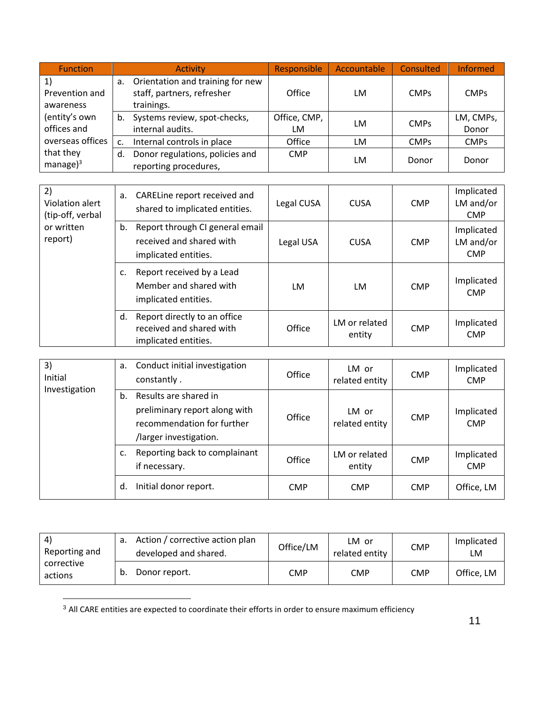| <b>Function</b>                   |    | <b>Activity</b>                                                              | Responsible        | Accountable | Consulted   | <b>Informed</b>    |
|-----------------------------------|----|------------------------------------------------------------------------------|--------------------|-------------|-------------|--------------------|
| 1)<br>Prevention and<br>awareness | а. | Orientation and training for new<br>staff, partners, refresher<br>trainings. | Office             | LM          | <b>CMPs</b> | <b>CMPs</b>        |
| (entity's own<br>offices and      | b. | Systems review, spot-checks,<br>internal audits.                             | Office, CMP,<br>LM | LM          | <b>CMPs</b> | LM, CMPs,<br>Donor |
| overseas offices                  |    | Internal controls in place                                                   | Office             | LM          | <b>CMPs</b> | <b>CMPs</b>        |
| that they<br>manage $)^3$         | d. | Donor regulations, policies and<br>reporting procedures,                     | <b>CMP</b>         | LM          | Donor       | Donor              |

| 2)<br>Violation alert<br>(tip-off, verbal | а. | CARELine report received and<br>shared to implicated entities.                      | Legal CUSA | <b>CUSA</b>             | <b>CMP</b> | Implicated<br>LM and/or<br><b>CMP</b> |
|-------------------------------------------|----|-------------------------------------------------------------------------------------|------------|-------------------------|------------|---------------------------------------|
| or written<br>report)                     | b. | Report through CI general email<br>received and shared with<br>implicated entities. | Legal USA  | <b>CUSA</b>             | <b>CMP</b> | Implicated<br>LM and/or<br><b>CMP</b> |
|                                           | c. | Report received by a Lead<br>Member and shared with<br>implicated entities.         | LM         | LM                      | <b>CMP</b> | Implicated<br><b>CMP</b>              |
|                                           | d. | Report directly to an office<br>received and shared with<br>implicated entities.    | Office     | LM or related<br>entity | <b>CMP</b> | Implicated<br><b>CMP</b>              |

| 3)<br>Initial<br>Investigation |    | a. Conduct initial investigation<br>constantly.                                                                | Office     | LM or<br>related entity | <b>CMP</b> | Implicated<br><b>CMP</b> |
|--------------------------------|----|----------------------------------------------------------------------------------------------------------------|------------|-------------------------|------------|--------------------------|
|                                | b. | Results are shared in<br>preliminary report along with<br>recommendation for further<br>/larger investigation. | Office     | LM or<br>related entity | <b>CMP</b> | Implicated<br><b>CMP</b> |
|                                | c. | Reporting back to complainant<br>if necessary.                                                                 | Office     | LM or related<br>entity | <b>CMP</b> | Implicated<br><b>CMP</b> |
|                                | d. | Initial donor report.                                                                                          | <b>CMP</b> | <b>CMP</b>              | <b>CMP</b> | Office, LM               |

| -4)<br>Reporting and  | Action / corrective action plan<br>developed and shared. | Office/LM | LM or<br>related entity | <b>CMP</b> | Implicated<br>LM |
|-----------------------|----------------------------------------------------------|-----------|-------------------------|------------|------------------|
| corrective<br>actions | Donor report.                                            | CMP       | CMP                     | <b>CMP</b> | Office, LM       |

<sup>3</sup> All CARE entities are expected to coordinate their efforts in order to ensure maximum efficiency

l